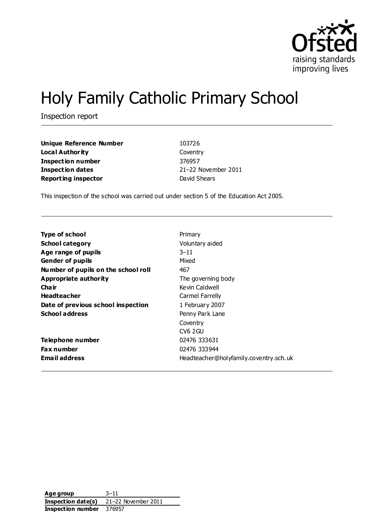

# Holy Family Catholic Primary School

Inspection report

| <b>Unique Reference Number</b> | 103726              |
|--------------------------------|---------------------|
| <b>Local Authority</b>         | Coventry            |
| <b>Inspection number</b>       | 376957              |
| <b>Inspection dates</b>        | 21-22 November 2011 |
| <b>Reporting inspector</b>     | David Shears        |

This inspection of the school was carried out under section 5 of the Education Act 2005.

| <b>Type of school</b>               | Primary                                |
|-------------------------------------|----------------------------------------|
| <b>School category</b>              | Voluntary aided                        |
| Age range of pupils                 | $3 - 11$                               |
| <b>Gender of pupils</b>             | Mixed                                  |
| Number of pupils on the school roll | 467                                    |
| Appropriate authority               | The governing body                     |
| Cha ir                              | Kevin Caldwell                         |
| <b>Headteacher</b>                  | Carmel Farrelly                        |
| Date of previous school inspection  | 1 February 2007                        |
| <b>School address</b>               | Penny Park Lane                        |
|                                     | Coventry                               |
|                                     | <b>CV6 2GU</b>                         |
| Telephone number                    | 02476 333631                           |
| <b>Fax number</b>                   | 02476 333944                           |
| <b>Email address</b>                | Headteacher@holyfamily.coventry.sch.uk |

**Age group** 3–11 **Inspection date(s)** 21–22 November 2011 **Inspection number** 376957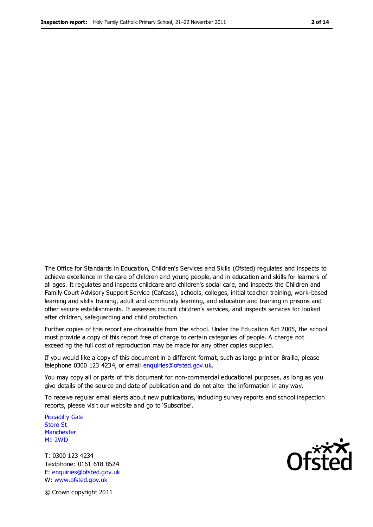The Office for Standards in Education, Children's Services and Skills (Ofsted) regulates and inspects to achieve excellence in the care of children and young people, and in education and skills for learners of all ages. It regulates and inspects childcare and children's social care, and inspects the Children and Family Court Advisory Support Service (Cafcass), schools, colleges, initial teacher training, work-based learning and skills training, adult and community learning, and education and training in prisons and other secure establishments. It assesses council children's services, and inspects services for looked after children, safeguarding and child protection.

Further copies of this report are obtainable from the school. Under the Education Act 2005, the school must provide a copy of this report free of charge to certain categories of people. A charge not exceeding the full cost of reproduction may be made for any other copies supplied.

If you would like a copy of this document in a different format, such as large print or Braille, please telephone 0300 123 4234, or email enquiries@ofsted.gov.uk.

You may copy all or parts of this document for non-commercial educational purposes, as long as you give details of the source and date of publication and do not alter the information in any way.

To receive regular email alerts about new publications, including survey reports and school inspection reports, please visit our website and go to 'Subscribe'.

Piccadilly Gate Store St **Manchester** M1 2WD

T: 0300 123 4234 Textphone: 0161 618 8524 E: enquiries@ofsted.gov.uk W: www.ofsted.gov.uk



© Crown copyright 2011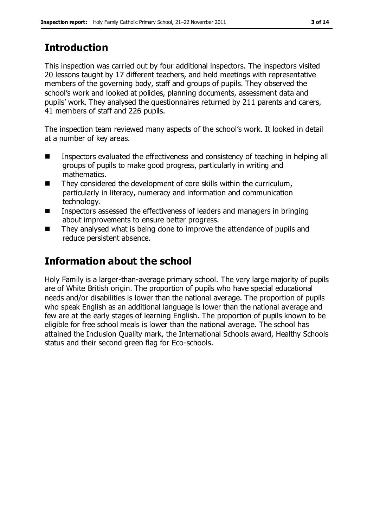# **Introduction**

This inspection was carried out by four additional inspectors. The inspectors visited 20 lessons taught by 17 different teachers, and held meetings with representative members of the governing body, staff and groups of pupils. They observed the school's work and looked at policies, planning documents, assessment data and pupils' work. They analysed the questionnaires returned by 211 parents and carers, 41 members of staff and 226 pupils.

The inspection team reviewed many aspects of the school's work. It looked in detail at a number of key areas.

- Inspectors evaluated the effectiveness and consistency of teaching in helping all groups of pupils to make good progress, particularly in writing and mathematics.
- $\blacksquare$  They considered the development of core skills within the curriculum, particularly in literacy, numeracy and information and communication technology.
- Inspectors assessed the effectiveness of leaders and managers in bringing about improvements to ensure better progress.
- They analysed what is being done to improve the attendance of pupils and reduce persistent absence.

# **Information about the school**

Holy Family is a larger-than-average primary school. The very large majority of pupils are of White British origin. The proportion of pupils who have special educational needs and/or disabilities is lower than the national average. The proportion of pupils who speak English as an additional language is lower than the national average and few are at the early stages of learning English. The proportion of pupils known to be eligible for free school meals is lower than the national average. The school has attained the Inclusion Quality mark, the International Schools award, Healthy Schools status and their second green flag for Eco-schools.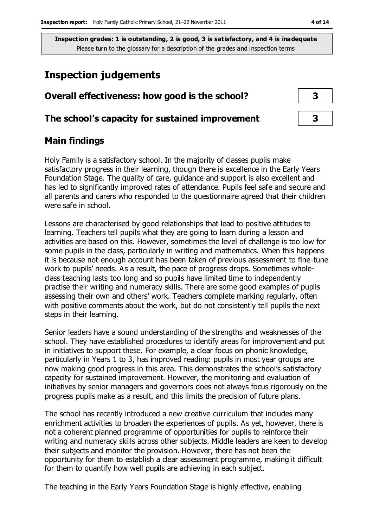# **Inspection judgements**

| Overall effectiveness: how good is the school?  |  |
|-------------------------------------------------|--|
| The school's capacity for sustained improvement |  |

### **Main findings**

Holy Family is a satisfactory school. In the majority of classes pupils make satisfactory progress in their learning, though there is excellence in the Early Years Foundation Stage. The quality of care, guidance and support is also excellent and has led to significantly improved rates of attendance. Pupils feel safe and secure and all parents and carers who responded to the questionnaire agreed that their children were safe in school.

Lessons are characterised by good relationships that lead to positive attitudes to learning. Teachers tell pupils what they are going to learn during a lesson and activities are based on this. However, sometimes the level of challenge is too low for some pupils in the class, particularly in writing and mathematics. When this happens it is because not enough account has been taken of previous assessment to fine-tune work to pupils' needs. As a result, the pace of progress drops. Sometimes wholeclass teaching lasts too long and so pupils have limited time to independently practise their writing and numeracy skills. There are some good examples of pupils assessing their own and others' work. Teachers complete marking regularly, often with positive comments about the work, but do not consistently tell pupils the next steps in their learning.

Senior leaders have a sound understanding of the strengths and weaknesses of the school. They have established procedures to identify areas for improvement and put in initiatives to support these. For example, a clear focus on phonic knowledge, particularly in Years 1 to 3, has improved reading: pupils in most year groups are now making good progress in this area. This demonstrates the school's satisfactory capacity for sustained improvement. However, the monitoring and evaluation of initiatives by senior managers and governors does not always focus rigorously on the progress pupils make as a result, and this limits the precision of future plans.

The school has recently introduced a new creative curriculum that includes many enrichment activities to broaden the experiences of pupils. As yet, however, there is not a coherent planned programme of opportunities for pupils to reinforce their writing and numeracy skills across other subjects. Middle leaders are keen to develop their subjects and monitor the provision. However, there has not been the opportunity for them to establish a clear assessment programme, making it difficult for them to quantify how well pupils are achieving in each subject.

The teaching in the Early Years Foundation Stage is highly effective, enabling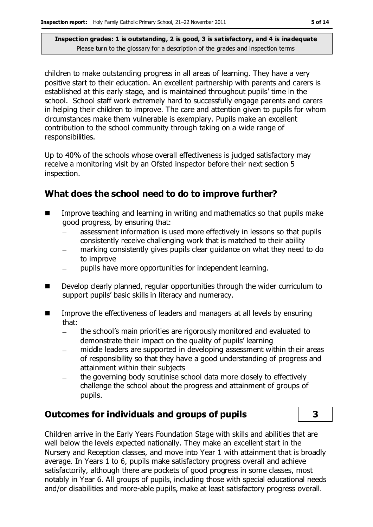children to make outstanding progress in all areas of learning. They have a very positive start to their education. An excellent partnership with parents and carers is established at this early stage, and is maintained throughout pupils' time in the school. School staff work extremely hard to successfully engage parents and carers in helping their children to improve. The care and attention given to pupils for whom circumstances make them vulnerable is exemplary. Pupils make an excellent contribution to the school community through taking on a wide range of responsibilities.

Up to 40% of the schools whose overall effectiveness is judged satisfactory may receive a monitoring visit by an Ofsted inspector before their next section 5 inspection.

### **What does the school need to do to improve further?**

- **IMPROVE THE 19** Improve teaching and learning in writing and mathematics so that pupils make good progress, by ensuring that:
	- assessment information is used more effectively in lessons so that pupils consistently receive challenging work that is matched to their ability
	- marking consistently gives pupils clear guidance on what they need to do to improve
	- pupils have more opportunities for independent learning.  $\equiv$
- Develop clearly planned, regular opportunities through the wider curriculum to support pupils' basic skills in literacy and numeracy.
- **IMPROVE THE EFFECT ENDISCOMED EXAM** Improve the effectiveness of leaders and managers at all levels by ensuring that:
	- $\equiv$ the school's main priorities are rigorously monitored and evaluated to demonstrate their impact on the quality of pupils' learning
	- middle leaders are supported in developing assessment within their areas of responsibility so that they have a good understanding of progress and attainment within their subjects
	- the governing body scrutinise school data more closely to effectively challenge the school about the progress and attainment of groups of pupils.

# **Outcomes for individuals and groups of pupils 3**

Children arrive in the Early Years Foundation Stage with skills and abilities that are well below the levels expected nationally. They make an excellent start in the Nursery and Reception classes, and move into Year 1 with attainment that is broadly average. In Years 1 to 6, pupils make satisfactory progress overall and achieve satisfactorily, although there are pockets of good progress in some classes, most notably in Year 6. All groups of pupils, including those with special educational needs and/or disabilities and more-able pupils, make at least satisfactory progress overall.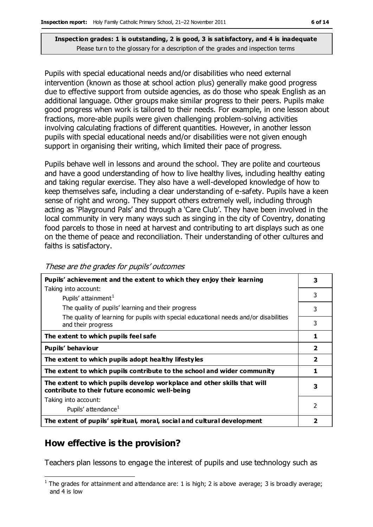Pupils with special educational needs and/or disabilities who need external intervention (known as those at school action plus) generally make good progress due to effective support from outside agencies, as do those who speak English as an additional language. Other groups make similar progress to their peers. Pupils make good progress when work is tailored to their needs. For example, in one lesson about fractions, more-able pupils were given challenging problem-solving activities involving calculating fractions of different quantities. However, in another lesson pupils with special educational needs and/or disabilities were not given enough support in organising their writing, which limited their pace of progress.

Pupils behave well in lessons and around the school. They are polite and courteous and have a good understanding of how to live healthy lives, including healthy eating and taking regular exercise. They also have a well-developed knowledge of how to keep themselves safe, including a clear understanding of e-safety. Pupils have a keen sense of right and wrong. They support others extremely well, including through acting as 'Playground Pals' and through a 'Care Club'. They have been involved in the local community in very many ways such as singing in the city of Coventry, donating food parcels to those in need at harvest and contributing to art displays such as one on the theme of peace and reconciliation. Their understanding of other cultures and faiths is satisfactory.

| Pupils' achievement and the extent to which they enjoy their learning                                                     | 3              |
|---------------------------------------------------------------------------------------------------------------------------|----------------|
| Taking into account:                                                                                                      |                |
| Pupils' attainment <sup>1</sup>                                                                                           | 3              |
| The quality of pupils' learning and their progress                                                                        | 3              |
| The quality of learning for pupils with special educational needs and/or disabilities<br>and their progress               | 3              |
| The extent to which pupils feel safe                                                                                      |                |
| Pupils' behaviour                                                                                                         | $\overline{2}$ |
| The extent to which pupils adopt healthy lifestyles                                                                       | $\mathbf{2}$   |
| The extent to which pupils contribute to the school and wider community                                                   |                |
| The extent to which pupils develop workplace and other skills that will<br>contribute to their future economic well-being | 3              |
| Taking into account:                                                                                                      |                |
| Pupils' attendance <sup>1</sup>                                                                                           | 2              |
| The extent of pupils' spiritual, moral, social and cultural development                                                   |                |

| These are the grades for pupils' outcomes |  |  |
|-------------------------------------------|--|--|
|-------------------------------------------|--|--|

# **How effective is the provision?**

Teachers plan lessons to engage the interest of pupils and use technology such as

 $\overline{a}$  $<sup>1</sup>$  The grades for attainment and attendance are: 1 is high; 2 is above average; 3 is broadly average;</sup> and 4 is low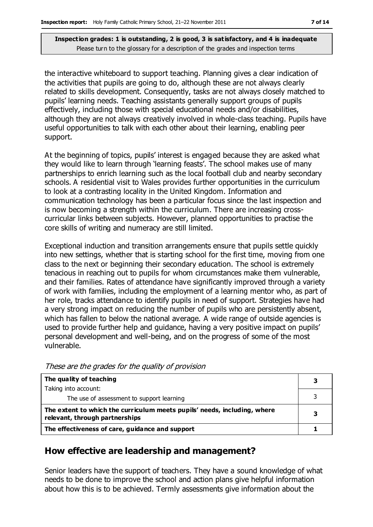the interactive whiteboard to support teaching. Planning gives a clear indication of the activities that pupils are going to do, although these are not always clearly related to skills development. Consequently, tasks are not always closely matched to pupils' learning needs. Teaching assistants generally support groups of pupils effectively, including those with special educational needs and/or disabilities, although they are not always creatively involved in whole-class teaching. Pupils have useful opportunities to talk with each other about their learning, enabling peer support.

At the beginning of topics, pupils' interest is engaged because they are asked what they would like to learn through 'learning feasts'. The school makes use of many partnerships to enrich learning such as the local football club and nearby secondary schools. A residential visit to Wales provides further opportunities in the curriculum to look at a contrasting locality in the United Kingdom. Information and communication technology has been a particular focus since the last inspection and is now becoming a strength within the curriculum. There are increasing crosscurricular links between subjects. However, planned opportunities to practise the core skills of writing and numeracy are still limited.

Exceptional induction and transition arrangements ensure that pupils settle quickly into new settings, whether that is starting school for the first time, moving from one class to the next or beginning their secondary education. The school is extremely tenacious in reaching out to pupils for whom circumstances make them vulnerable, and their families. Rates of attendance have significantly improved through a variety of work with families, including the employment of a learning mentor who, as part of her role, tracks attendance to identify pupils in need of support. Strategies have had a very strong impact on reducing the number of pupils who are persistently absent, which has fallen to below the national average. A wide range of outside agencies is used to provide further help and guidance, having a very positive impact on pupils' personal development and well-being, and on the progress of some of the most vulnerable.

| The quality of teaching                                                                                    | 3 |
|------------------------------------------------------------------------------------------------------------|---|
| Taking into account:                                                                                       |   |
| The use of assessment to support learning                                                                  |   |
| The extent to which the curriculum meets pupils' needs, including, where<br>relevant, through partnerships | З |
| The effectiveness of care, guidance and support                                                            |   |

These are the grades for the quality of provision

# **How effective are leadership and management?**

Senior leaders have the support of teachers. They have a sound knowledge of what needs to be done to improve the school and action plans give helpful information about how this is to be achieved. Termly assessments give information about the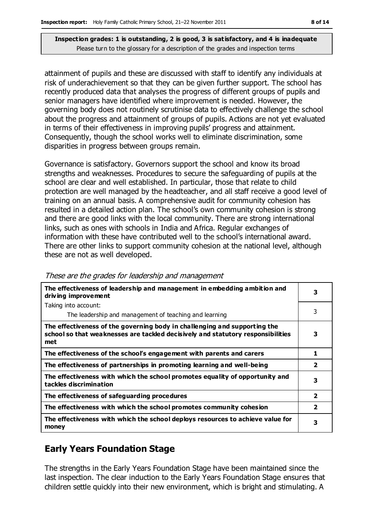attainment of pupils and these are discussed with staff to identify any individuals at risk of underachievement so that they can be given further support. The school has recently produced data that analyses the progress of different groups of pupils and senior managers have identified where improvement is needed. However, the governing body does not routinely scrutinise data to effectively challenge the school about the progress and attainment of groups of pupils. Actions are not yet evaluated in terms of their effectiveness in improving pupils' progress and attainment. Consequently, though the school works well to eliminate discrimination, some disparities in progress between groups remain.

Governance is satisfactory. Governors support the school and know its broad strengths and weaknesses. Procedures to secure the safeguarding of pupils at the school are clear and well established. In particular, those that relate to child protection are well managed by the headteacher, and all staff receive a good level of training on an annual basis. A comprehensive audit for community cohesion has resulted in a detailed action plan. The school's own community cohesion is strong and there are good links with the local community. There are strong international links, such as ones with schools in India and Africa. Regular exchanges of information with these have contributed well to the school's international award. There are other links to support community cohesion at the national level, although these are not as well developed.

| The effectiveness of leadership and management in embedding ambition and<br>driving improvement                                                                     | 3                       |
|---------------------------------------------------------------------------------------------------------------------------------------------------------------------|-------------------------|
| Taking into account:                                                                                                                                                |                         |
| The leadership and management of teaching and learning                                                                                                              | 3                       |
| The effectiveness of the governing body in challenging and supporting the<br>school so that weaknesses are tackled decisively and statutory responsibilities<br>met | з                       |
| The effectiveness of the school's engagement with parents and carers                                                                                                | 1                       |
| The effectiveness of partnerships in promoting learning and well-being                                                                                              | $\overline{\mathbf{2}}$ |
| The effectiveness with which the school promotes equality of opportunity and<br>tackles discrimination                                                              | з                       |
| The effectiveness of safeguarding procedures                                                                                                                        | 2                       |
| The effectiveness with which the school promotes community cohesion                                                                                                 | $\overline{\mathbf{2}}$ |
| The effectiveness with which the school deploys resources to achieve value for<br>money                                                                             | 3                       |

These are the grades for leadership and management

# **Early Years Foundation Stage**

The strengths in the Early Years Foundation Stage have been maintained since the last inspection. The clear induction to the Early Years Foundation Stage ensures that children settle quickly into their new environment, which is bright and stimulating. A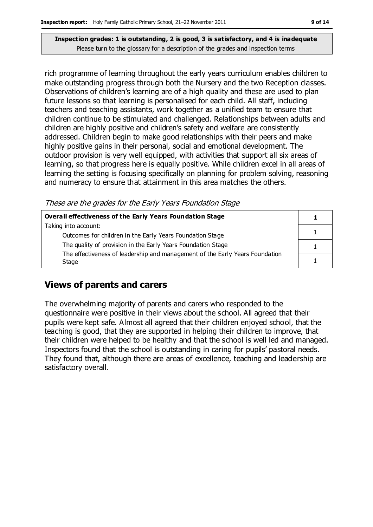rich programme of learning throughout the early years curriculum enables children to make outstanding progress through both the Nursery and the two Reception classes. Observations of children's learning are of a high quality and these are used to plan future lessons so that learning is personalised for each child. All staff, including teachers and teaching assistants, work together as a unified team to ensure that children continue to be stimulated and challenged. Relationships between adults and children are highly positive and children's safety and welfare are consistently addressed. Children begin to make good relationships with their peers and make highly positive gains in their personal, social and emotional development. The outdoor provision is very well equipped, with activities that support all six areas of learning, so that progress here is equally positive. While children excel in all areas of learning the setting is focusing specifically on planning for problem solving, reasoning and numeracy to ensure that attainment in this area matches the others.

These are the grades for the Early Years Foundation Stage

| Overall effectiveness of the Early Years Foundation Stage                    |  |
|------------------------------------------------------------------------------|--|
| Taking into account:                                                         |  |
| Outcomes for children in the Early Years Foundation Stage                    |  |
| The quality of provision in the Early Years Foundation Stage                 |  |
| The effectiveness of leadership and management of the Early Years Foundation |  |
| Stage                                                                        |  |

# **Views of parents and carers**

The overwhelming majority of parents and carers who responded to the questionnaire were positive in their views about the school. All agreed that their pupils were kept safe. Almost all agreed that their children enjoyed school, that the teaching is good, that they are supported in helping their children to improve, that their children were helped to be healthy and that the school is well led and managed. Inspectors found that the school is outstanding in caring for pupils' pastoral needs. They found that, although there are areas of excellence, teaching and leadership are satisfactory overall.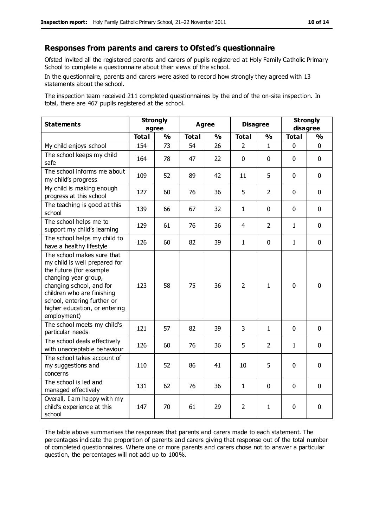#### **Responses from parents and carers to Ofsted's questionnaire**

Ofsted invited all the registered parents and carers of pupils registered at Holy Family Catholic Primary School to complete a questionnaire about their views of the school.

In the questionnaire, parents and carers were asked to record how strongly they agreed with 13 statements about the school.

The inspection team received 211 completed questionnaires by the end of the on-site inspection. In total, there are 467 pupils registered at the school.

| <b>Statements</b>                                                                                                                                                                                                                                       | <b>Strongly</b><br>agree |               | Agree        |               | <b>Disagree</b> |                | <b>Strongly</b><br>disagree |               |
|---------------------------------------------------------------------------------------------------------------------------------------------------------------------------------------------------------------------------------------------------------|--------------------------|---------------|--------------|---------------|-----------------|----------------|-----------------------------|---------------|
|                                                                                                                                                                                                                                                         | <b>Total</b>             | $\frac{1}{2}$ | <b>Total</b> | $\frac{1}{2}$ | <b>Total</b>    | $\frac{1}{2}$  | <b>Total</b>                | $\frac{1}{2}$ |
| My child enjoys school                                                                                                                                                                                                                                  | 154                      | 73            | 54           | 26            | $\overline{2}$  | $\mathbf{1}$   | $\mathbf 0$                 | $\mathbf 0$   |
| The school keeps my child<br>safe                                                                                                                                                                                                                       | 164                      | 78            | 47           | 22            | $\mathbf 0$     | $\mathbf 0$    | $\mathbf 0$                 | $\mathbf 0$   |
| The school informs me about<br>my child's progress                                                                                                                                                                                                      | 109                      | 52            | 89           | 42            | 11              | 5              | $\mathbf 0$                 | $\mathbf 0$   |
| My child is making enough<br>progress at this school                                                                                                                                                                                                    | 127                      | 60            | 76           | 36            | 5               | 2              | $\mathbf 0$                 | $\mathbf 0$   |
| The teaching is good at this<br>school                                                                                                                                                                                                                  | 139                      | 66            | 67           | 32            | $\mathbf{1}$    | $\mathbf 0$    | $\mathbf 0$                 | $\mathbf 0$   |
| The school helps me to<br>support my child's learning                                                                                                                                                                                                   | 129                      | 61            | 76           | 36            | 4               | $\overline{2}$ | $\mathbf{1}$                | $\mathbf 0$   |
| The school helps my child to<br>have a healthy lifestyle                                                                                                                                                                                                | 126                      | 60            | 82           | 39            | $\mathbf{1}$    | $\mathbf 0$    | $\mathbf 1$                 | $\mathbf 0$   |
| The school makes sure that<br>my child is well prepared for<br>the future (for example<br>changing year group,<br>changing school, and for<br>children who are finishing<br>school, entering further or<br>higher education, or entering<br>employment) | 123                      | 58            | 75           | 36            | $\overline{2}$  | 1              | $\mathbf{0}$                | 0             |
| The school meets my child's<br>particular needs                                                                                                                                                                                                         | 121                      | 57            | 82           | 39            | 3               | 1              | $\mathbf 0$                 | $\mathbf 0$   |
| The school deals effectively<br>with unacceptable behaviour                                                                                                                                                                                             | 126                      | 60            | 76           | 36            | 5               | 2              | 1                           | $\mathbf 0$   |
| The school takes account of<br>my suggestions and<br>concerns                                                                                                                                                                                           | 110                      | 52            | 86           | 41            | 10              | 5              | $\mathbf 0$                 | $\mathbf 0$   |
| The school is led and<br>managed effectively                                                                                                                                                                                                            | 131                      | 62            | 76           | 36            | $\mathbf{1}$    | $\mathbf 0$    | $\mathbf 0$                 | $\mathbf 0$   |
| Overall, I am happy with my<br>child's experience at this<br>school                                                                                                                                                                                     | 147                      | 70            | 61           | 29            | 2               | 1              | $\mathbf 0$                 | 0             |

The table above summarises the responses that parents and carers made to each statement. The percentages indicate the proportion of parents and carers giving that response out of the total number of completed questionnaires. Where one or more parents and carers chose not to answer a particular question, the percentages will not add up to 100%.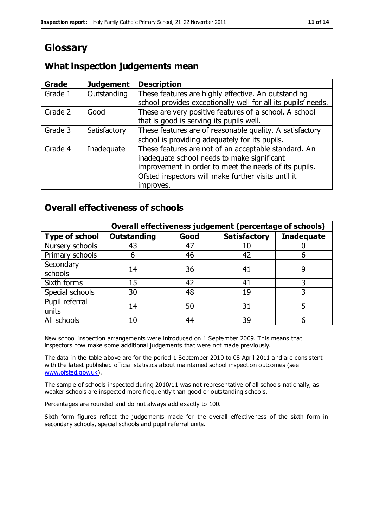# **Glossary**

### **What inspection judgements mean**

| Grade   | <b>Judgement</b> | <b>Description</b>                                            |
|---------|------------------|---------------------------------------------------------------|
| Grade 1 | Outstanding      | These features are highly effective. An outstanding           |
|         |                  | school provides exceptionally well for all its pupils' needs. |
| Grade 2 | Good             | These are very positive features of a school. A school        |
|         |                  | that is good is serving its pupils well.                      |
| Grade 3 | Satisfactory     | These features are of reasonable quality. A satisfactory      |
|         |                  | school is providing adequately for its pupils.                |
| Grade 4 | Inadequate       | These features are not of an acceptable standard. An          |
|         |                  | inadequate school needs to make significant                   |
|         |                  | improvement in order to meet the needs of its pupils.         |
|         |                  | Ofsted inspectors will make further visits until it           |
|         |                  | improves.                                                     |

### **Overall effectiveness of schools**

|                       |                    |      | Overall effectiveness judgement (percentage of schools) |                   |  |
|-----------------------|--------------------|------|---------------------------------------------------------|-------------------|--|
| <b>Type of school</b> | <b>Outstanding</b> | Good | <b>Satisfactory</b>                                     | <b>Inadequate</b> |  |
| Nursery schools       | 43                 | 47   | 10                                                      |                   |  |
| Primary schools       | ჩ                  | 46   | 42                                                      |                   |  |
| Secondary             | 14                 | 36   |                                                         |                   |  |
| schools               |                    |      | 41                                                      |                   |  |
| Sixth forms           | 15                 | 42   | 41                                                      |                   |  |
| Special schools       | 30                 | 48   | 19                                                      |                   |  |
| Pupil referral        | 14                 | 50   | 31                                                      |                   |  |
| units                 |                    |      |                                                         |                   |  |
| All schools           | 10                 | 44   | 39                                                      |                   |  |

New school inspection arrangements were introduced on 1 September 2009. This means that inspectors now make some additional judgements that were not made previously.

The data in the table above are for the period 1 September 2010 to 08 April 2011 and are consistent with the latest published official statistics about maintained school inspection outcomes (see [www.ofsted.gov.uk\)](http://www.ofsted.gov.uk/).

The sample of schools inspected during 2010/11 was not representative of all schools nationally, as weaker schools are inspected more frequently than good or outstanding schools.

Percentages are rounded and do not always add exactly to 100.

Sixth form figures reflect the judgements made for the overall effectiveness of the sixth form in secondary schools, special schools and pupil referral units.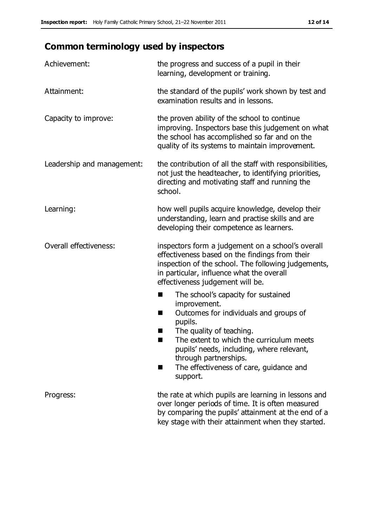# **Common terminology used by inspectors**

| Achievement:                  | the progress and success of a pupil in their<br>learning, development or training.                                                                                                                                                                                                                                           |
|-------------------------------|------------------------------------------------------------------------------------------------------------------------------------------------------------------------------------------------------------------------------------------------------------------------------------------------------------------------------|
| Attainment:                   | the standard of the pupils' work shown by test and<br>examination results and in lessons.                                                                                                                                                                                                                                    |
| Capacity to improve:          | the proven ability of the school to continue<br>improving. Inspectors base this judgement on what<br>the school has accomplished so far and on the<br>quality of its systems to maintain improvement.                                                                                                                        |
| Leadership and management:    | the contribution of all the staff with responsibilities,<br>not just the headteacher, to identifying priorities,<br>directing and motivating staff and running the<br>school.                                                                                                                                                |
| Learning:                     | how well pupils acquire knowledge, develop their<br>understanding, learn and practise skills and are<br>developing their competence as learners.                                                                                                                                                                             |
| <b>Overall effectiveness:</b> | inspectors form a judgement on a school's overall<br>effectiveness based on the findings from their<br>inspection of the school. The following judgements,<br>in particular, influence what the overall<br>effectiveness judgement will be.                                                                                  |
|                               | The school's capacity for sustained<br>■<br>improvement.<br>Outcomes for individuals and groups of<br>H<br>pupils.<br>The quality of teaching.<br>The extent to which the curriculum meets<br>pupils' needs, including, where relevant,<br>through partnerships.<br>The effectiveness of care, guidance and<br>٠<br>support. |
| Progress:                     | the rate at which pupils are learning in lessons and<br>over longer periods of time. It is often measured<br>by comparing the pupils' attainment at the end of a<br>key stage with their attainment when they started.                                                                                                       |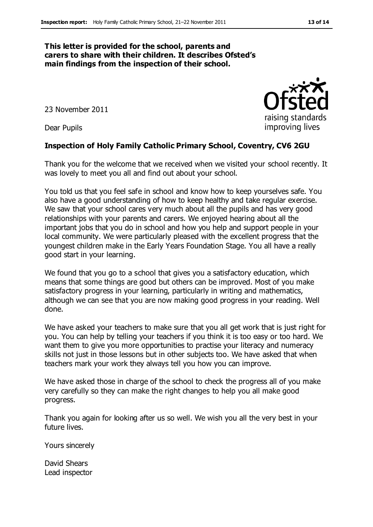#### **This letter is provided for the school, parents and carers to share with their children. It describes Ofsted's main findings from the inspection of their school.**

23 November 2011

Dear Pupils

#### **Inspection of Holy Family Catholic Primary School, Coventry, CV6 2GU**

Thank you for the welcome that we received when we visited your school recently. It was lovely to meet you all and find out about your school.

You told us that you feel safe in school and know how to keep yourselves safe. You also have a good understanding of how to keep healthy and take regular exercise. We saw that your school cares very much about all the pupils and has very good relationships with your parents and carers. We enjoyed hearing about all the important jobs that you do in school and how you help and support people in your local community. We were particularly pleased with the excellent progress that the youngest children make in the Early Years Foundation Stage. You all have a really good start in your learning.

We found that you go to a school that gives you a satisfactory education, which means that some things are good but others can be improved. Most of you make satisfactory progress in your learning, particularly in writing and mathematics, although we can see that you are now making good progress in your reading. Well done.

We have asked your teachers to make sure that you all get work that is just right for you. You can help by telling your teachers if you think it is too easy or too hard. We want them to give you more opportunities to practise your literacy and numeracy skills not just in those lessons but in other subjects too. We have asked that when teachers mark your work they always tell you how you can improve.

We have asked those in charge of the school to check the progress all of you make very carefully so they can make the right changes to help you all make good progress.

Thank you again for looking after us so well. We wish you all the very best in your future lives.

Yours sincerely

David Shears Lead inspector